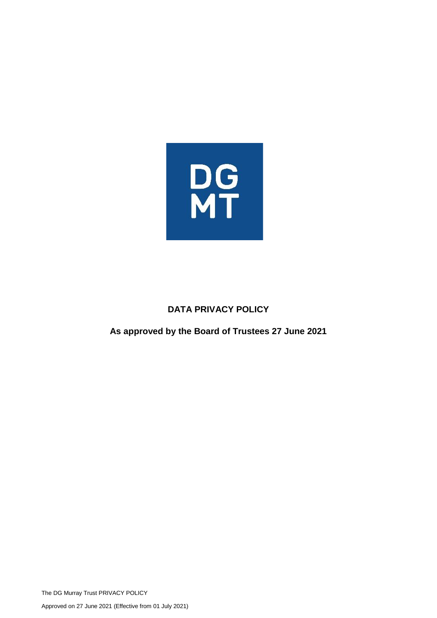

# **DATA PRIVACY POLICY**

# **As approved by the Board of Trustees 27 June 2021**

The DG Murray Trust PRIVACY POLICY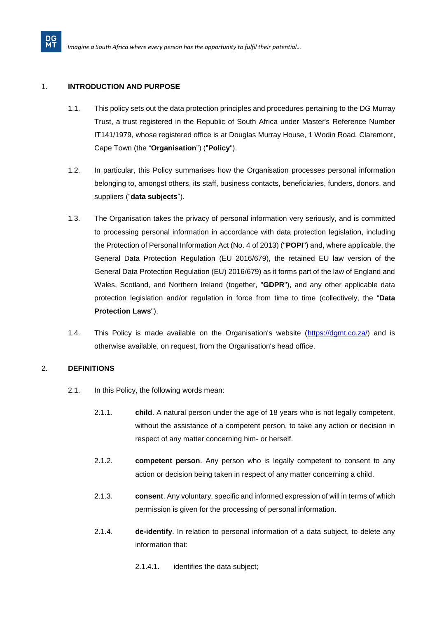# 1. **INTRODUCTION AND PURPOSE**

**DG**<br>MT

- 1.1. This policy sets out the data protection principles and procedures pertaining to the DG Murray Trust, a trust registered in the Republic of South Africa under Master's Reference Number IT141/1979, whose registered office is at Douglas Murray House, 1 Wodin Road, Claremont, Cape Town (the "**Organisation**") ("**Policy**").
- 1.2. In particular, this Policy summarises how the Organisation processes personal information belonging to, amongst others, its staff, business contacts, beneficiaries, funders, donors, and suppliers ("**data subjects**").
- 1.3. The Organisation takes the privacy of personal information very seriously, and is committed to processing personal information in accordance with data protection legislation, including the Protection of Personal Information Act (No. 4 of 2013) ("**POPI**") and, where applicable, the General Data Protection Regulation (EU 2016/679), the retained EU law version of the General Data Protection Regulation (EU) 2016/679) as it forms part of the law of England and Wales, Scotland, and Northern Ireland (together, "**GDPR**"), and any other applicable data protection legislation and/or regulation in force from time to time (collectively, the "**Data Protection Laws**").
- 1.4. This Policy is made available on the Organisation's website [\(https://dgmt.co.za/\)](https://dgmt.co.za/) and is otherwise available, on request, from the Organisation's head office.

# 2. **DEFINITIONS**

- 2.1. In this Policy, the following words mean:
	- 2.1.1. **child**. A natural person under the age of 18 years who is not legally competent, without the assistance of a competent person, to take any action or decision in respect of any matter concerning him- or herself.
	- 2.1.2. **competent person**. Any person who is legally competent to consent to any action or decision being taken in respect of any matter concerning a child.
	- 2.1.3. **consent**. Any voluntary, specific and informed expression of will in terms of which permission is given for the processing of personal information.
	- 2.1.4. **de-identify**. In relation to personal information of a data subject, to delete any information that:
		- 2.1.4.1. identifies the data subject;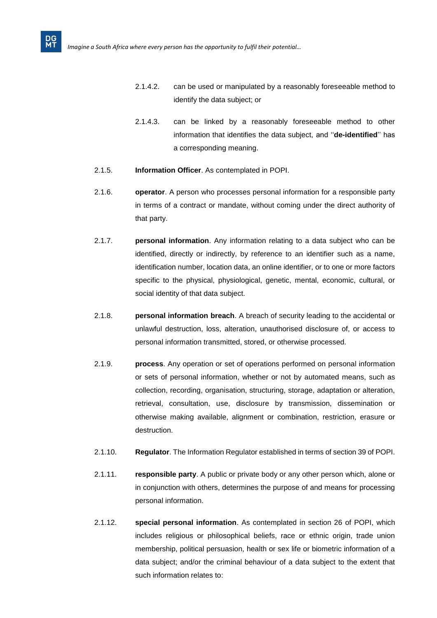- 2.1.4.2. can be used or manipulated by a reasonably foreseeable method to identify the data subject; or
- 2.1.4.3. can be linked by a reasonably foreseeable method to other information that identifies the data subject, and ''**de-identified**'' has a corresponding meaning.
- 2.1.5. **Information Officer**. As contemplated in POPI.
- 2.1.6. **operator**. A person who processes personal information for a responsible party in terms of a contract or mandate, without coming under the direct authority of that party.
- 2.1.7. **personal information**. Any information relating to a data subject who can be identified, directly or indirectly, by reference to an identifier such as a name, identification number, location data, an online identifier, or to one or more factors specific to the physical, physiological, genetic, mental, economic, cultural, or social identity of that data subject.
- 2.1.8. **personal information breach**. A breach of security leading to the accidental or unlawful destruction, loss, alteration, unauthorised disclosure of, or access to personal information transmitted, stored, or otherwise processed.
- 2.1.9. **process**. Any operation or set of operations performed on personal information or sets of personal information, whether or not by automated means, such as collection, recording, organisation, structuring, storage, adaptation or alteration, retrieval, consultation, use, disclosure by transmission, dissemination or otherwise making available, alignment or combination, restriction, erasure or destruction.
- 2.1.10. **Regulator**. The Information Regulator established in terms of section 39 of POPI.
- 2.1.11. **responsible party**. A public or private body or any other person which, alone or in conjunction with others, determines the purpose of and means for processing personal information.
- 2.1.12. **special personal information**. As contemplated in section 26 of POPI, which includes religious or philosophical beliefs, race or ethnic origin, trade union membership, political persuasion, health or sex life or biometric information of a data subject; and/or the criminal behaviour of a data subject to the extent that such information relates to: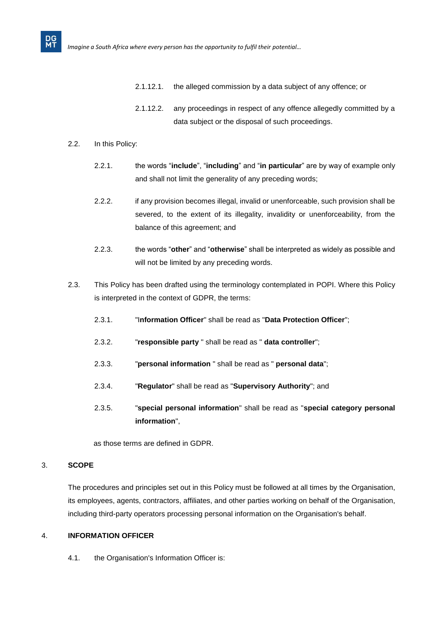- 2.1.12.1. the alleged commission by a data subject of any offence; or
- 2.1.12.2. any proceedings in respect of any offence allegedly committed by a data subject or the disposal of such proceedings.
- 2.2. In this Policy:

- 2.2.1. the words "**include**", "**including**" and "**in particular**" are by way of example only and shall not limit the generality of any preceding words;
- 2.2.2. if any provision becomes illegal, invalid or unenforceable, such provision shall be severed, to the extent of its illegality, invalidity or unenforceability, from the balance of this agreement; and
- 2.2.3. the words "**other**" and "**otherwise**" shall be interpreted as widely as possible and will not be limited by any preceding words.
- 2.3. This Policy has been drafted using the terminology contemplated in POPI. Where this Policy is interpreted in the context of GDPR, the terms:
	- 2.3.1. "I**nformation Officer**" shall be read as "**Data Protection Officer**";
	- 2.3.2. "**responsible party** " shall be read as " **data controller**";
	- 2.3.3. "**personal information** " shall be read as " **personal data**";
	- 2.3.4. "**Regulator**" shall be read as "**Supervisory Authority**"; and
	- 2.3.5. "**special personal information**" shall be read as "**special category personal information**",

as those terms are defined in GDPR.

# 3. **SCOPE**

The procedures and principles set out in this Policy must be followed at all times by the Organisation, its employees, agents, contractors, affiliates, and other parties working on behalf of the Organisation, including third-party operators processing personal information on the Organisation's behalf.

# 4. **INFORMATION OFFICER**

4.1. the Organisation's Information Officer is: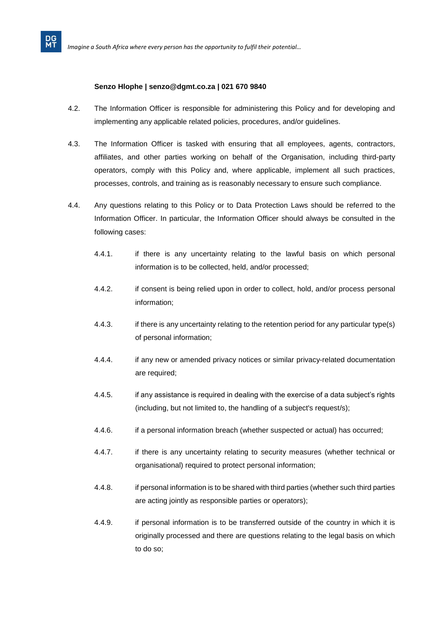#### **Senzo Hlophe | senzo@dgmt.co.za | 021 670 9840**

- 4.2. The Information Officer is responsible for administering this Policy and for developing and implementing any applicable related policies, procedures, and/or guidelines.
- 4.3. The Information Officer is tasked with ensuring that all employees, agents, contractors, affiliates, and other parties working on behalf of the Organisation, including third-party operators, comply with this Policy and, where applicable, implement all such practices, processes, controls, and training as is reasonably necessary to ensure such compliance.
- 4.4. Any questions relating to this Policy or to Data Protection Laws should be referred to the Information Officer. In particular, the Information Officer should always be consulted in the following cases:
	- 4.4.1. if there is any uncertainty relating to the lawful basis on which personal information is to be collected, held, and/or processed;
	- 4.4.2. if consent is being relied upon in order to collect, hold, and/or process personal information;
	- 4.4.3. if there is any uncertainty relating to the retention period for any particular type(s) of personal information;
	- 4.4.4. if any new or amended privacy notices or similar privacy-related documentation are required;
	- 4.4.5. if any assistance is required in dealing with the exercise of a data subject's rights (including, but not limited to, the handling of a subject's request/s);
	- 4.4.6. if a personal information breach (whether suspected or actual) has occurred;
	- 4.4.7. if there is any uncertainty relating to security measures (whether technical or organisational) required to protect personal information;
	- 4.4.8. if personal information is to be shared with third parties (whether such third parties are acting jointly as responsible parties or operators);
	- 4.4.9. if personal information is to be transferred outside of the country in which it is originally processed and there are questions relating to the legal basis on which to do so;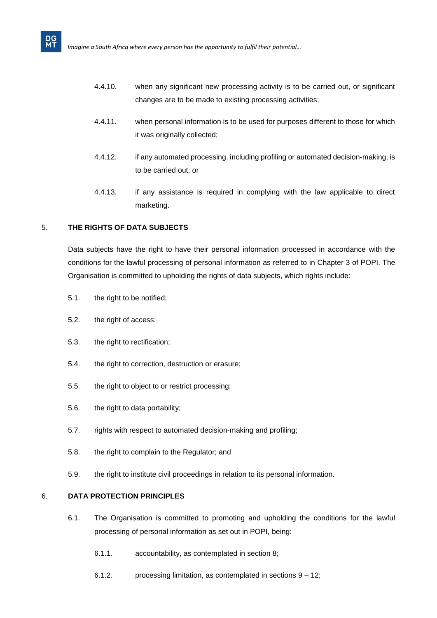- 4.4.10. when any significant new processing activity is to be carried out, or significant changes are to be made to existing processing activities;
- 4.4.11. when personal information is to be used for purposes different to those for which it was originally collected;
- 4.4.12. if any automated processing, including profiling or automated decision-making, is to be carried out; or
- 4.4.13. if any assistance is required in complying with the law applicable to direct marketing.

# 5. **THE RIGHTS OF DATA SUBJECTS**

**DG**<br>MT

Data subjects have the right to have their personal information processed in accordance with the conditions for the lawful processing of personal information as referred to in [Chapter 3](https://popia.co.za/protection-of-personal-information-act-popia/chapter-3-2/) of POPI. The Organisation is committed to upholding the rights of data subjects, which rights include:

- 5.1. the right to be notified;
- 5.2. the right of access;
- 5.3. the right to rectification;
- 5.4. the right to correction, destruction or erasure;
- 5.5. the right to object to or restrict processing;
- 5.6. the right to data portability;
- 5.7. rights with respect to automated decision-making and profiling;
- 5.8. the right to complain to the Regulator; and
- 5.9. the right to institute civil proceedings in relation to its personal information.

# 6. **DATA PROTECTION PRINCIPLES**

- 6.1. The Organisation is committed to promoting and upholding the conditions for the lawful processing of personal information as set out in POPI, being:
	- 6.1.1. accountability, as contemplated in section 8;
	- 6.1.2. processing limitation, as contemplated in sections 9 12;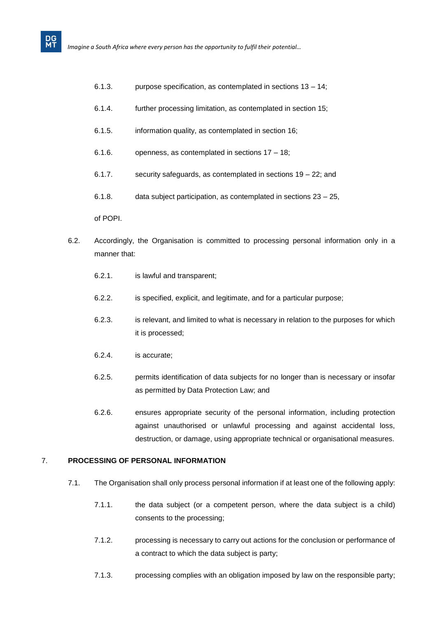- 6.1.3. purpose specification, as contemplated in sections 13 14;
- 6.1.4. further processing limitation, as contemplated in section 15;
- 6.1.5. information quality, as contemplated in section 16;
- 6.1.6. openness, as contemplated in sections 17 18;
- 6.1.7. security safeguards, as contemplated in sections 19 22; and
- 6.1.8. data subject participation, as contemplated in sections 23 25,

of POPI.

- 6.2. Accordingly, the Organisation is committed to processing personal information only in a manner that:
	- 6.2.1. is lawful and transparent;
	- 6.2.2. is specified, explicit, and legitimate, and for a particular purpose;
	- 6.2.3. is relevant, and limited to what is necessary in relation to the purposes for which it is processed;
	- 6.2.4. is accurate;
	- 6.2.5. permits identification of data subjects for no longer than is necessary or insofar as permitted by Data Protection Law; and
	- 6.2.6. ensures appropriate security of the personal information, including protection against unauthorised or unlawful processing and against accidental loss, destruction, or damage, using appropriate technical or organisational measures.

# 7. **PROCESSING OF PERSONAL INFORMATION**

- 7.1. The Organisation shall only process personal information if at least one of the following apply:
	- 7.1.1. the data subject (or a competent person, where the data subject is a child) consents to the processing;
	- 7.1.2. processing is necessary to carry out actions for the conclusion or performance of a contract to which the data subject is party;
	- 7.1.3. processing complies with an obligation imposed by law on the responsible party;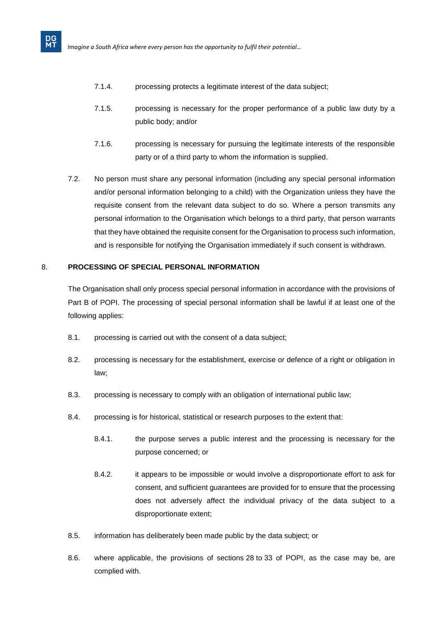- 7.1.4. processing protects a legitimate interest of the data subject;
- 7.1.5. processing is necessary for the proper performance of a public law duty by a public body; and/or
- 7.1.6. processing is necessary for pursuing the legitimate interests of the responsible party or of a third party to whom the information is supplied.
- 7.2. No person must share any personal information (including any special personal information and/or personal information belonging to a child) with the Organization unless they have the requisite consent from the relevant data subject to do so. Where a person transmits any personal information to the Organisation which belongs to a third party, that person warrants that they have obtained the requisite consent for the Organisation to process such information, and is responsible for notifying the Organisation immediately if such consent is withdrawn.

# 8. **PROCESSING OF SPECIAL PERSONAL INFORMATION**

The Organisation shall only process special personal information in accordance with the provisions of Part B of POPI. The processing of special personal information shall be lawful if at least one of the following applies:

- 8.1. processing is carried out with the consent of a data subject;
- 8.2. processing is necessary for the establishment, exercise or defence of a right or obligation in law;
- 8.3. processing is necessary to comply with an obligation of international public law;
- 8.4. processing is for historical, statistical or research purposes to the extent that:
	- 8.4.1. the purpose serves a public interest and the processing is necessary for the purpose concerned; or
	- 8.4.2. it appears to be impossible or would involve a disproportionate effort to ask for consent, and sufficient guarantees are provided for to ensure that the processing does not adversely affect the individual privacy of the data subject to a disproportionate extent;
- 8.5. information has deliberately been made public by the data subject; or
- 8.6. where applicable, the provisions of sections 28 to 33 of POPI, as the case may be, are complied with.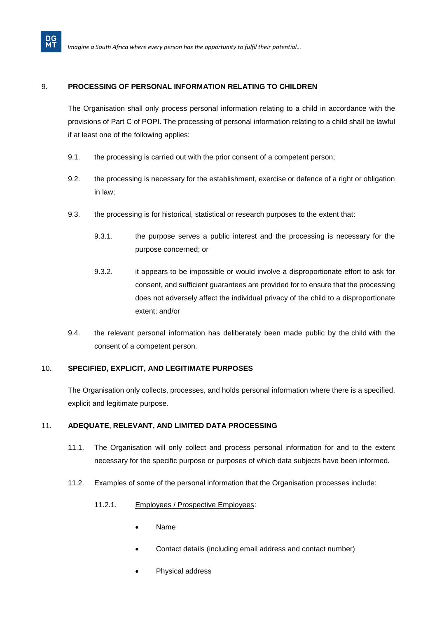# 9. **PROCESSING OF PERSONAL INFORMATION RELATING TO CHILDREN**

The Organisation shall only process personal information relating to a child in accordance with the provisions of Part C of POPI. The processing of personal information relating to a child shall be lawful if at least one of the following applies:

- 9.1. the processing is carried out with the prior consent of a competent [person;](https://popia.co.za/section-1-definitions/)
- 9.2. the processing is necessary for the establishment, exercise or defence of a right or obligation in law;
- 9.3. the processing is for historical, statistical or research purposes to the extent that:
	- 9.3.1. the purpose serves a public interest and the processing is necessary for the purpose concerned; or
	- 9.3.2. it appears to be impossible or would involve a disproportionate effort to ask for consent, and sufficient guarantees are provided for to ensure that the processing does not adversely affect the individual privacy of the [child](https://popia.co.za/section-1-definitions/) to a disproportionate extent; and/or
- 9.4. the relevant personal information has deliberately been made public by the [child](https://popia.co.za/section-1-definitions/) with the consent of a competent [person.](https://popia.co.za/section-1-definitions/)

# 10. **SPECIFIED, EXPLICIT, AND LEGITIMATE PURPOSES**

The Organisation only collects, processes, and holds personal information where there is a specified, explicit and legitimate purpose.

# 11. **ADEQUATE, RELEVANT, AND LIMITED DATA PROCESSING**

- 11.1. The Organisation will only collect and process personal information for and to the extent necessary for the specific purpose or purposes of which data subjects have been informed.
- 11.2. Examples of some of the personal information that the Organisation processes include:
	- 11.2.1. Employees / Prospective Employees:
		- Name
		- Contact details (including email address and contact number)
		- Physical address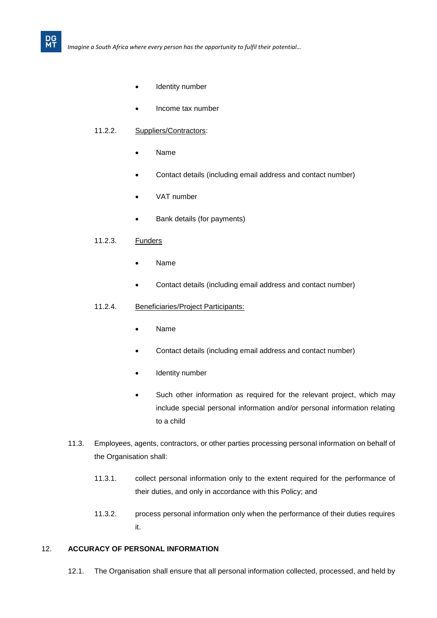- Identity number
- Income tax number

#### 11.2.2. Suppliers/Contractors:

- Name
- Contact details (including email address and contact number)
- VAT number
- Bank details (for payments)

#### 11.2.3. Funders

**DG**<br>MT

- Name
- Contact details (including email address and contact number)

#### 11.2.4. Beneficiaries/Project Participants:

- Name
- Contact details (including email address and contact number)
- Identity number
- Such other information as required for the relevant project, which may include special personal information and/or personal information relating to a child
- 11.3. Employees, agents, contractors, or other parties processing personal information on behalf of the Organisation shall:
	- 11.3.1. collect personal information only to the extent required for the performance of their duties, and only in accordance with this Policy; and
	- 11.3.2. process personal information only when the performance of their duties requires it.

#### 12. **ACCURACY OF PERSONAL INFORMATION**

12.1. The Organisation shall ensure that all personal information collected, processed, and held by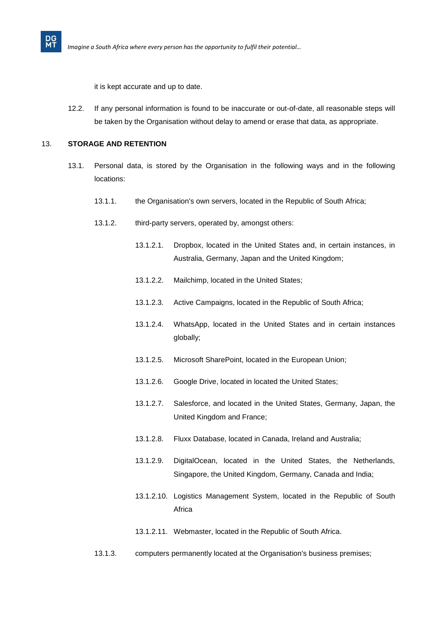it is kept accurate and up to date.

12.2. If any personal information is found to be inaccurate or out-of-date, all reasonable steps will be taken by the Organisation without delay to amend or erase that data, as appropriate.

# 13. **STORAGE AND RETENTION**

- 13.1. Personal data, is stored by the Organisation in the following ways and in the following locations:
	- 13.1.1. the Organisation's own servers, located in the Republic of South Africa;
	- 13.1.2. third-party servers, operated by, amongst others:
		- 13.1.2.1. Dropbox, located in the United States and, in certain instances, in Australia, Germany, Japan and the United Kingdom;
		- 13.1.2.2. Mailchimp, located in the United States;
		- 13.1.2.3. Active Campaigns, located in the Republic of South Africa;
		- 13.1.2.4. WhatsApp, located in the United States and in certain instances globally;
		- 13.1.2.5. Microsoft SharePoint, located in the European Union;
		- 13.1.2.6. Google Drive, located in located the United States;
		- 13.1.2.7. Salesforce, and located in the United States, Germany, Japan, the United Kingdom and France;
		- 13.1.2.8. Fluxx Database, located in Canada, Ireland and Australia;
		- 13.1.2.9. DigitalOcean, located in the United States, the Netherlands, Singapore, the United Kingdom, Germany, Canada and India;
		- 13.1.2.10. Logistics Management System, located in the Republic of South Africa
		- 13.1.2.11. Webmaster, located in the Republic of South Africa.
	- 13.1.3. computers permanently located at the Organisation's business premises;

**DG**<br>MT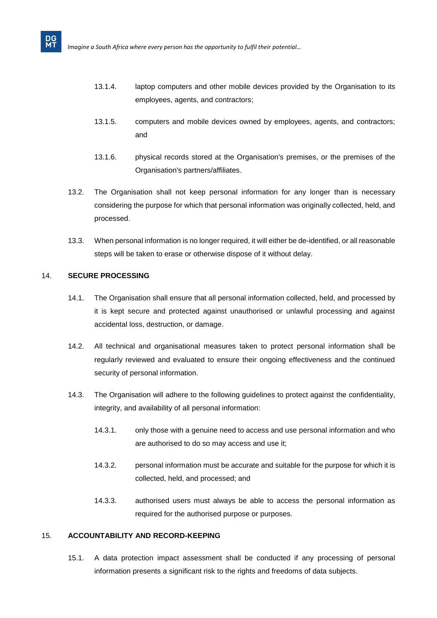- 13.1.4. laptop computers and other mobile devices provided by the Organisation to its employees, agents, and contractors;
- 13.1.5. computers and mobile devices owned by employees, agents, and contractors; and
- 13.1.6. physical records stored at the Organisation's premises, or the premises of the Organisation's partners/affiliates.
- 13.2. The Organisation shall not keep personal information for any longer than is necessary considering the purpose for which that personal information was originally collected, held, and processed.
- 13.3. When personal information is no longer required, it will either be de-identified, or all reasonable steps will be taken to erase or otherwise dispose of it without delay.

# 14. **SECURE PROCESSING**

**DG**<br>MT

- 14.1. The Organisation shall ensure that all personal information collected, held, and processed by it is kept secure and protected against unauthorised or unlawful processing and against accidental loss, destruction, or damage.
- 14.2. All technical and organisational measures taken to protect personal information shall be regularly reviewed and evaluated to ensure their ongoing effectiveness and the continued security of personal information.
- 14.3. The Organisation will adhere to the following guidelines to protect against the confidentiality, integrity, and availability of all personal information:
	- 14.3.1. only those with a genuine need to access and use personal information and who are authorised to do so may access and use it;
	- 14.3.2. personal information must be accurate and suitable for the purpose for which it is collected, held, and processed; and
	- 14.3.3. authorised users must always be able to access the personal information as required for the authorised purpose or purposes.

# 15. **ACCOUNTABILITY AND RECORD-KEEPING**

15.1. A data protection impact assessment shall be conducted if any processing of personal information presents a significant risk to the rights and freedoms of data subjects.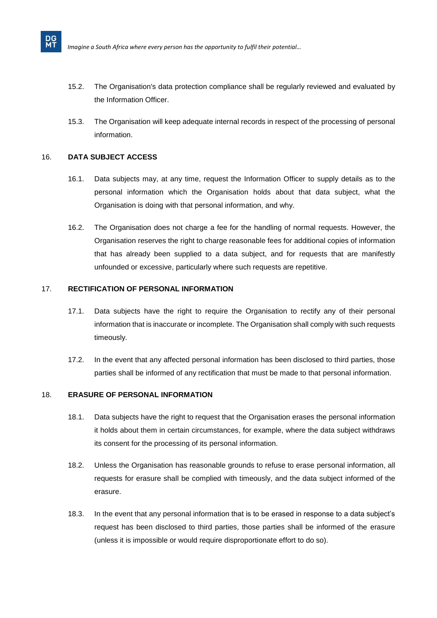- 15.2. The Organisation's data protection compliance shall be regularly reviewed and evaluated by the Information Officer.
- 15.3. The Organisation will keep adequate internal records in respect of the processing of personal information.

# 16. **DATA SUBJECT ACCESS**

**DG**<br>MT

- 16.1. Data subjects may, at any time, request the Information Officer to supply details as to the personal information which the Organisation holds about that data subject, what the Organisation is doing with that personal information, and why.
- 16.2. The Organisation does not charge a fee for the handling of normal requests. However, the Organisation reserves the right to charge reasonable fees for additional copies of information that has already been supplied to a data subject, and for requests that are manifestly unfounded or excessive, particularly where such requests are repetitive.

# 17. **RECTIFICATION OF PERSONAL INFORMATION**

- 17.1. Data subjects have the right to require the Organisation to rectify any of their personal information that is inaccurate or incomplete. The Organisation shall comply with such requests timeously.
- 17.2. In the event that any affected personal information has been disclosed to third parties, those parties shall be informed of any rectification that must be made to that personal information.

# 18. **ERASURE OF PERSONAL INFORMATION**

- 18.1. Data subjects have the right to request that the Organisation erases the personal information it holds about them in certain circumstances, for example, where the data subject withdraws its consent for the processing of its personal information.
- 18.2. Unless the Organisation has reasonable grounds to refuse to erase personal information, all requests for erasure shall be complied with timeously, and the data subject informed of the erasure.
- 18.3. In the event that any personal information that is to be erased in response to a data subject's request has been disclosed to third parties, those parties shall be informed of the erasure (unless it is impossible or would require disproportionate effort to do so).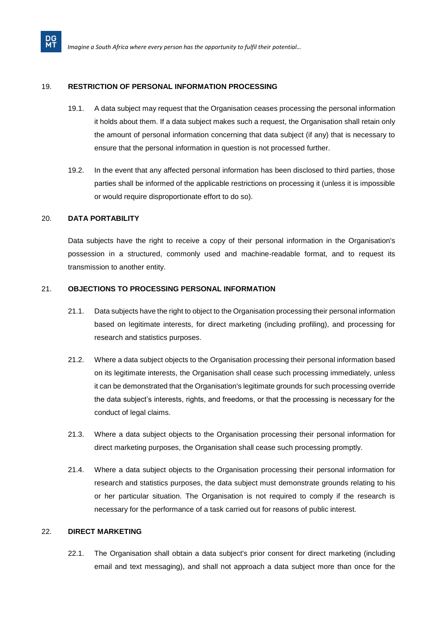# 19. **RESTRICTION OF PERSONAL INFORMATION PROCESSING**

- 19.1. A data subject may request that the Organisation ceases processing the personal information it holds about them. If a data subject makes such a request, the Organisation shall retain only the amount of personal information concerning that data subject (if any) that is necessary to ensure that the personal information in question is not processed further.
- 19.2. In the event that any affected personal information has been disclosed to third parties, those parties shall be informed of the applicable restrictions on processing it (unless it is impossible or would require disproportionate effort to do so).

# 20. **DATA PORTABILITY**

**DG**<br>MT

Data subjects have the right to receive a copy of their personal information in the Organisation's possession in a structured, commonly used and machine-readable format, and to request its transmission to another entity.

# 21. **OBJECTIONS TO PROCESSING PERSONAL INFORMATION**

- 21.1. Data subjects have the right to object to the Organisation processing their personal information based on legitimate interests, for direct marketing (including profiling), and processing for research and statistics purposes.
- 21.2. Where a data subject objects to the Organisation processing their personal information based on its legitimate interests, the Organisation shall cease such processing immediately, unless it can be demonstrated that the Organisation's legitimate grounds for such processing override the data subject's interests, rights, and freedoms, or that the processing is necessary for the conduct of legal claims.
- 21.3. Where a data subject objects to the Organisation processing their personal information for direct marketing purposes, the Organisation shall cease such processing promptly.
- 21.4. Where a data subject objects to the Organisation processing their personal information for research and statistics purposes, the data subject must demonstrate grounds relating to his or her particular situation. The Organisation is not required to comply if the research is necessary for the performance of a task carried out for reasons of public interest.

# 22. **DIRECT MARKETING**

22.1. The Organisation shall obtain a data subject's prior consent for direct marketing (including email and text messaging), and shall not approach a data subject more than once for the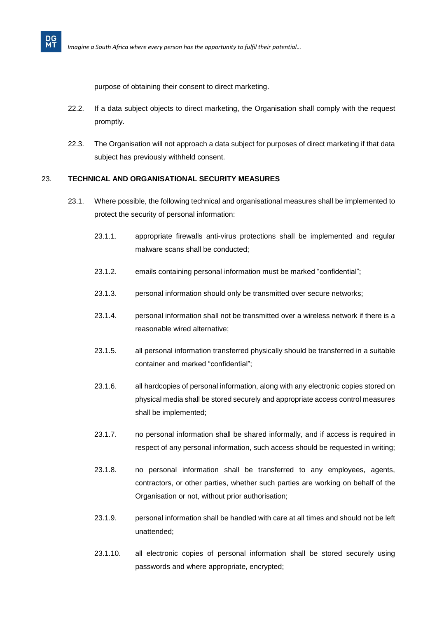purpose of obtaining their consent to direct marketing.

- 22.2. If a data subject objects to direct marketing, the Organisation shall comply with the request promptly.
- 22.3. The Organisation will not approach a data subject for purposes of direct marketing if that data subject has previously withheld consent.

#### 23. **TECHNICAL AND ORGANISATIONAL SECURITY MEASURES**

- 23.1. Where possible, the following technical and organisational measures shall be implemented to protect the security of personal information:
	- 23.1.1. appropriate firewalls anti-virus protections shall be implemented and regular malware scans shall be conducted;
	- 23.1.2. emails containing personal information must be marked "confidential";
	- 23.1.3. personal information should only be transmitted over secure networks;
	- 23.1.4. personal information shall not be transmitted over a wireless network if there is a reasonable wired alternative;
	- 23.1.5. all personal information transferred physically should be transferred in a suitable container and marked "confidential";
	- 23.1.6. all hardcopies of personal information, along with any electronic copies stored on physical media shall be stored securely and appropriate access control measures shall be implemented;
	- 23.1.7. no personal information shall be shared informally, and if access is required in respect of any personal information, such access should be requested in writing;
	- 23.1.8. no personal information shall be transferred to any employees, agents, contractors, or other parties, whether such parties are working on behalf of the Organisation or not, without prior authorisation;
	- 23.1.9. personal information shall be handled with care at all times and should not be left unattended;
	- 23.1.10. all electronic copies of personal information shall be stored securely using passwords and where appropriate, encrypted;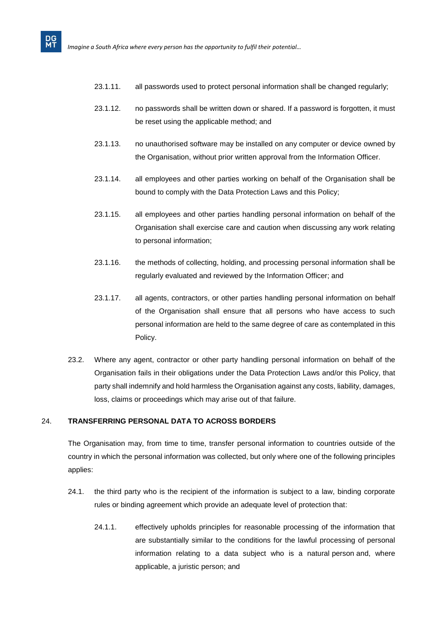- 23.1.11. all passwords used to protect personal information shall be changed regularly;
- 23.1.12. no passwords shall be written down or shared. If a password is forgotten, it must be reset using the applicable method; and
- 23.1.13. no unauthorised software may be installed on any computer or device owned by the Organisation, without prior written approval from the Information Officer.
- 23.1.14. all employees and other parties working on behalf of the Organisation shall be bound to comply with the Data Protection Laws and this Policy;
- 23.1.15. all employees and other parties handling personal information on behalf of the Organisation shall exercise care and caution when discussing any work relating to personal information;
- 23.1.16. the methods of collecting, holding, and processing personal information shall be regularly evaluated and reviewed by the Information Officer; and
- 23.1.17. all agents, contractors, or other parties handling personal information on behalf of the Organisation shall ensure that all persons who have access to such personal information are held to the same degree of care as contemplated in this Policy.
- 23.2. Where any agent, contractor or other party handling personal information on behalf of the Organisation fails in their obligations under the Data Protection Laws and/or this Policy, that party shall indemnify and hold harmless the Organisation against any costs, liability, damages, loss, claims or proceedings which may arise out of that failure.

# 24. **TRANSFERRING PERSONAL DATA TO ACROSS BORDERS**

The Organisation may, from time to time, transfer personal information to countries outside of the country in which the personal information was collected, but only where one of the following principles applies:

- 24.1. the third party who is the recipient of the information is subject to a law, binding corporate rules or binding agreement which provide an adequate level of protection that:
	- 24.1.1. effectively upholds principles for reasonable processing of the information that are substantially similar to the conditions for the lawful processing of personal information relating to a data subject who is a natural [person](https://popia.co.za/section-1-definitions/) and, where applicable, a juristic [person;](https://popia.co.za/section-1-definitions/) and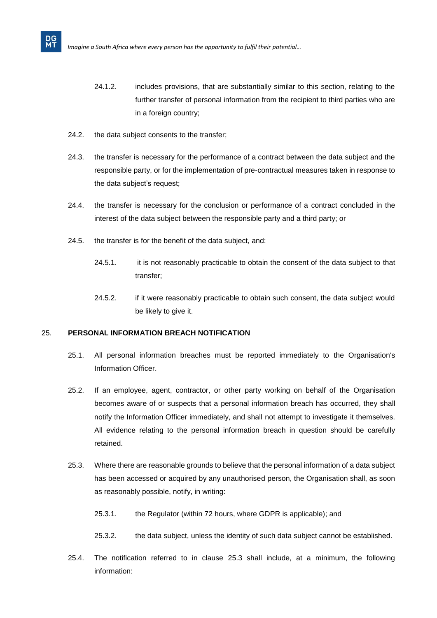- 24.1.2. includes provisions, that are substantially similar to this section, relating to the further transfer of personal information from the recipient to third parties who are in a foreign country;
- 24.2. the data subject consents to the transfer;

- 24.3. the transfer is necessary for the performance of a contract between the data subject and the responsible party, or for the implementation of pre-contractual measures taken in response to the data subject's request;
- 24.4. the transfer is necessary for the conclusion or performance of a contract concluded in the interest of the data subject between the responsible party and a third party; or
- 24.5. the transfer is for the benefit of the data subject, and:
	- 24.5.1. it is not reasonably practicable to obtain the consent of the data subject to that transfer;
	- 24.5.2. if it were reasonably practicable to obtain such consent, the data subject would be likely to give it.

#### 25. **PERSONAL INFORMATION BREACH NOTIFICATION**

- 25.1. All personal information breaches must be reported immediately to the Organisation's Information Officer.
- 25.2. If an employee, agent, contractor, or other party working on behalf of the Organisation becomes aware of or suspects that a personal information breach has occurred, they shall notify the Information Officer immediately, and shall not attempt to investigate it themselves. All evidence relating to the personal information breach in question should be carefully retained.
- <span id="page-16-0"></span>25.3. Where there are reasonable grounds to believe that the personal information of a data subject has been accessed or acquired by any unauthorised person, the Organisation shall, as soon as reasonably possible, notify, in writing:
	- 25.3.1. the Regulator (within 72 hours, where GDPR is applicable); and
	- 25.3.2. the data subject, unless the identity of such data subject cannot be established.
- 25.4. The notification referred to in clause [25.3](#page-16-0) shall include, at a minimum, the following information: